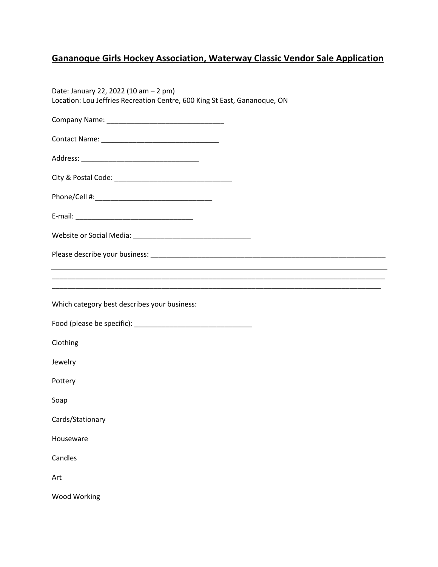## **Gananoque Girls Hockey Association, Waterway Classic Vendor Sale Application**

| Date: January 22, 2022 (10 am - 2 pm)<br>Location: Lou Jeffries Recreation Centre, 600 King St East, Gananoque, ON   |
|----------------------------------------------------------------------------------------------------------------------|
|                                                                                                                      |
|                                                                                                                      |
|                                                                                                                      |
|                                                                                                                      |
|                                                                                                                      |
|                                                                                                                      |
|                                                                                                                      |
|                                                                                                                      |
| <u> 1989 - Johann John Harry Harry Harry Harry Harry Harry Harry Harry Harry Harry Harry Harry Harry Harry Harry</u> |
|                                                                                                                      |
| Which category best describes your business:                                                                         |
|                                                                                                                      |
| Clothing                                                                                                             |
| Jewelry                                                                                                              |
| Pottery                                                                                                              |
| Soap                                                                                                                 |
| Cards/Stationary                                                                                                     |
| Houseware                                                                                                            |
| Candles                                                                                                              |
| Art                                                                                                                  |